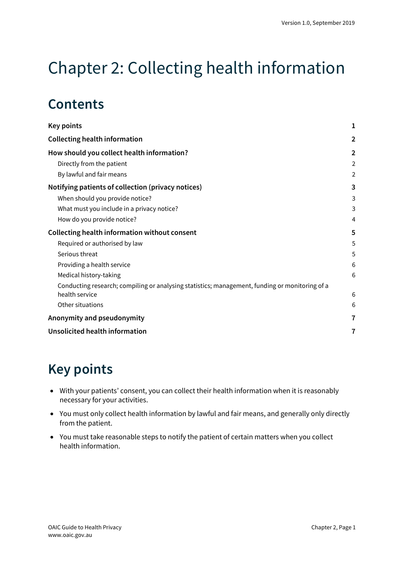# Chapter 2: Collecting health information

## **Contents**

| <b>Key points</b>                                                                              | 1              |
|------------------------------------------------------------------------------------------------|----------------|
| <b>Collecting health information</b>                                                           | $\overline{2}$ |
| How should you collect health information?                                                     | $\overline{2}$ |
| Directly from the patient                                                                      | $\overline{2}$ |
| By lawful and fair means                                                                       | $\overline{2}$ |
| Notifying patients of collection (privacy notices)                                             | 3              |
| When should you provide notice?                                                                | 3              |
| What must you include in a privacy notice?                                                     | 3              |
| How do you provide notice?                                                                     | 4              |
| <b>Collecting health information without consent</b>                                           | 5              |
| Required or authorised by law                                                                  | 5              |
| Serious threat                                                                                 | 5              |
| Providing a health service                                                                     | 6              |
| Medical history-taking                                                                         | 6              |
| Conducting research; compiling or analysing statistics; management, funding or monitoring of a |                |
| health service                                                                                 | 6              |
| Other situations                                                                               | 6              |
| Anonymity and pseudonymity                                                                     | 7              |
| <b>Unsolicited health information</b>                                                          | 7              |

## <span id="page-0-0"></span>**Key points**

- With your patients' consent, you can collect their health information when it is reasonably necessary for your activities.
- You must only collect health information by lawful and fair means, and generally only directly from the patient.
- You must take reasonable steps to notify the patient of certain matters when you collect health information.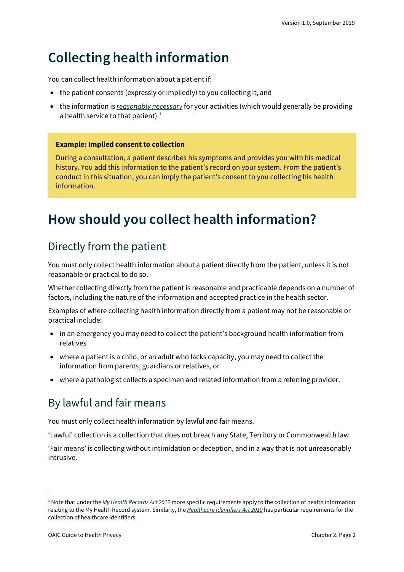## <span id="page-1-0"></span>**Collecting health information**

You can collect health information about a patient if:

- the patient consents (expressly or impliedly) to you collecting it, and
- the information is *[reasonably necessary](https://oaic.gov.au/privacy/australian-privacy-principles-guidelines/chapter-b-key-concepts/#reasonably-necessary-and-necessary)* for your activities (which would generally be providing a health service to that patient). $1$

#### **Example: Implied consent to collection**

During a consultation, a patient describes his symptoms and provides you with his medical history. You add this information to the patient's record on your system. From the patient's conduct in this situation, you can imply the patient's consent to you collecting his health information.

## <span id="page-1-1"></span>**How should you collect health information?**

## <span id="page-1-2"></span>Directly from the patient

You must only collect health information about a patient directly from the patient, unless it is not reasonable or practical to do so.

Whether collecting directly from the patient is reasonable and practicable depends on a number of factors, including the nature of the information and accepted practice in the health sector.

Examples of where collecting health information directly from a patient may not be reasonable or practical include:

- in an emergency you may need to collect the patient's background health information from relatives
- where a patient is a child, or an adult who lacks capacity, you may need to collect the information from parents, guardians or relatives, or
- where a pathologist collects a specimen and related information from a referring provider.

## <span id="page-1-3"></span>By lawful and fair means

You must only collect health information by lawful and fair means.

'Lawful' collection is a collection that does not breach any State, Territory or Commonwealth law.

'Fair means' is collecting without intimidation or deception, and in a way that is not unreasonably intrusive.

<span id="page-1-4"></span><sup>1</sup> Note that under the *[My Health Records Act 2012](https://www.legislation.gov.au/Series/C2012A00063)* more specific requirements apply to the collection of health information relating to the My Health Record system. Similarly, the *[Healthcare Identifiers Act 2010](https://www.legislation.gov.au/Series/C2010A00072)* has particular requirements for the collection of healthcare identifiers.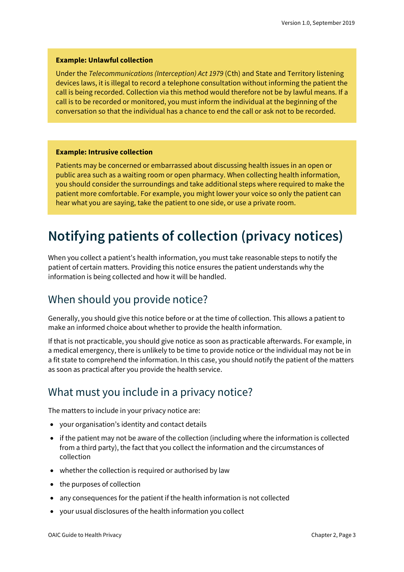#### **Example: Unlawful collection**

Under the *Telecommunications (Interception) Act 1979* (Cth) and State and Territory listening devices laws, it is illegal to record a telephone consultation without informing the patient the call is being recorded. Collection via this method would therefore not be by lawful means. If a call is to be recorded or monitored, you must inform the individual at the beginning of the conversation so that the individual has a chance to end the call or ask not to be recorded.

#### **Example: Intrusive collection**

Patients may be concerned or embarrassed about discussing health issues in an open or public area such as a waiting room or open pharmacy. When collecting health information, you should consider the surroundings and take additional steps where required to make the patient more comfortable. For example, you might lower your voice so only the patient can hear what you are saying, take the patient to one side, or use a private room.

## <span id="page-2-0"></span>**Notifying patients of collection (privacy notices)**

When you collect a patient's health information, you must take reasonable steps to notify the patient of certain matters. Providing this notice ensures the patient understands why the information is being collected and how it will be handled.

### <span id="page-2-1"></span>When should you provide notice?

Generally, you should give this notice before or at the time of collection. This allows a patient to make an informed choice about whether to provide the health information.

If that is not practicable, you should give notice as soon as practicable afterwards. For example, in a medical emergency, there is unlikely to be time to provide notice or the individual may not be in a fit state to comprehend the information. In this case, you should notify the patient of the matters as soon as practical after you provide the health service.

### <span id="page-2-2"></span>What must you include in a privacy notice?

The matters to include in your privacy notice are:

- your organisation's identity and contact details
- if the patient may not be aware of the collection (including where the information is collected from a third party), the fact that you collect the information and the circumstances of collection
- whether the collection is required or authorised by law
- the purposes of collection
- any consequences for the patient if the health information is not collected
- your usual disclosures of the health information you collect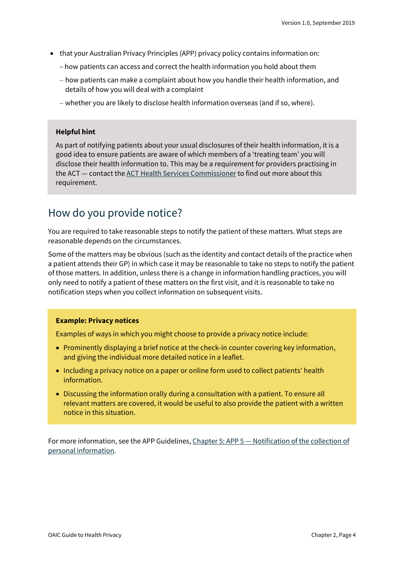- that your Australian Privacy Principles (APP) privacy policy contains information on:
	- how patients can access and correct the health information you hold about them
	- how patients can make a complaint about how you handle their health information, and details of how you will deal with a complaint
	- whether you are likely to disclose health information overseas (and if so, where).

#### **Helpful hint**

As part of notifying patients about your usual disclosures of their health information, it is a good idea to ensure patients are aware of which members of a 'treating team' you will disclose their health information to. This may be a requirement for providers practising in the ACT — contact th[e ACT Health Services Commissioner](https://hrc.act.gov.au/health/) to find out more about this requirement.

### <span id="page-3-0"></span>How do you provide notice?

You are required to take reasonable steps to notify the patient of these matters. What steps are reasonable depends on the circumstances.

Some of the matters may be obvious (such as the identity and contact details of the practice when a patient attends their GP) in which case it may be reasonable to take no steps to notify the patient of those matters. In addition, unless there is a change in information handling practices, you will only need to notify a patient of these matters on the first visit, and it is reasonable to take no notification steps when you collect information on subsequent visits.

#### **Example: Privacy notices**

Examples of ways in which you might choose to provide a privacy notice include:

- Prominently displaying a brief notice at the check-in counter covering key information, and giving the individual more detailed notice in a leaflet.
- Including a privacy notice on a paper or online form used to collect patients' health information.
- Discussing the information orally during a consultation with a patient. To ensure all relevant matters are covered, it would be useful to also provide the patient with a written notice in this situation.

For more information, see the APP Guidelines, Chapter 5: APP 5 — [Notification of the collection of](https://oaic.gov.au/privacy/australian-privacy-principles-guidelines/chapter-5-app-5-notification-of-the-collection-of-personal-information/)  [personal information.](https://oaic.gov.au/privacy/australian-privacy-principles-guidelines/chapter-5-app-5-notification-of-the-collection-of-personal-information/)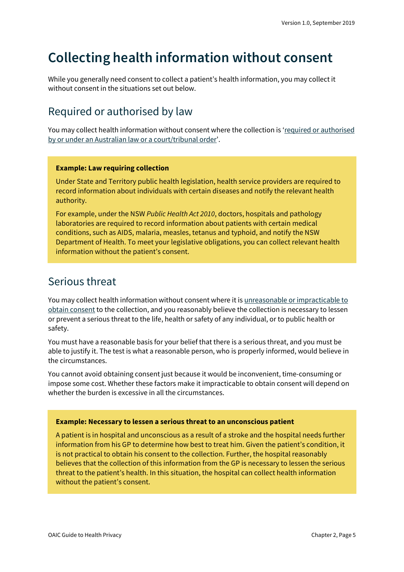## <span id="page-4-0"></span>**Collecting health information without consent**

While you generally need consent to collect a patient's health information, you may collect it without consent in the situations set out below.

### <span id="page-4-1"></span>Required or authorised by law

You may collect health information without consent where the collection is 'required or authorised [by or under an Australian law or a court/tribunal order'](https://oaic.gov.au/privacy/australian-privacy-principles-guidelines/chapter-b-key-concepts/#required-or-authorised-by-or-under-an-australian-law-or-a-courttribunal-order).

#### **Example: Law requiring collection**

Under State and Territory public health legislation, health service providers are required to record information about individuals with certain diseases and notify the relevant health authority.

For example, under the NSW *Public Health Act 2010*, doctors, hospitals and pathology laboratories are required to record information about patients with certain medical conditions, such as AIDS, malaria, measles, tetanus and typhoid, and notify the NSW Department of Health. To meet your legislative obligations, you can collect relevant health information without the patient's consent.

### <span id="page-4-2"></span>Serious threat

You may collect health information without consent where it is [unreasonable or impracticable to](https://oaic.gov.au/privacy/australian-privacy-principles-guidelines/chapter-c-permitted-general-situations/)  [obtain consent](https://oaic.gov.au/privacy/australian-privacy-principles-guidelines/chapter-c-permitted-general-situations/) to the collection, and you reasonably believe the collection is necessary to lessen or prevent a serious threat to the life, health or safety of any individual, or to public health or safety.

You must have a reasonable basis for your belief that there is a serious threat, and you must be able to justify it. The test is what a reasonable person, who is properly informed, would believe in the circumstances.

You cannot avoid obtaining consent just because it would be inconvenient, time-consuming or impose some cost. Whether these factors make it impracticable to obtain consent will depend on whether the burden is excessive in all the circumstances.

#### **Example: Necessary to lessen a serious threat to an unconscious patient**

A patient is in hospital and unconscious as a result of a stroke and the hospital needs further information from his GP to determine how best to treat him. Given the patient's condition, it is not practical to obtain his consent to the collection. Further, the hospital reasonably believes that the collection of this information from the GP is necessary to lessen the serious threat to the patient's health. In this situation, the hospital can collect health information without the patient's consent.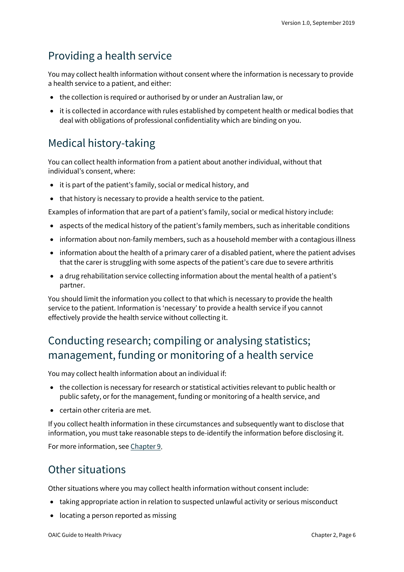### <span id="page-5-0"></span>Providing a health service

You may collect health information without consent where the information is necessary to provide a health service to a patient, and either:

- the collection is required or authorised by or under an Australian law, or
- it is collected in accordance with rules established by competent health or medical bodies that deal with obligations of professional confidentiality which are binding on you.

## <span id="page-5-1"></span>Medical history-taking

You can collect health information from a patient about another individual, without that individual's consent, where:

- it is part of the patient's family, social or medical history, and
- that history is necessary to provide a health service to the patient.

Examples of information that are part of a patient's family, social or medical history include:

- aspects of the medical history of the patient's family members, such as inheritable conditions
- information about non-family members, such as a household member with a contagious illness
- information about the health of a primary carer of a disabled patient, where the patient advises that the carer is struggling with some aspects of the patient's care due to severe arthritis
- a drug rehabilitation service collecting information about the mental health of a patient's partner.

You should limit the information you collect to that which is necessary to provide the health service to the patient. Information is 'necessary' to provide a health service if you cannot effectively provide the health service without collecting it.

## <span id="page-5-2"></span>Conducting research; compiling or analysing statistics; management, funding or monitoring of a health service

You may collect health information about an individual if:

- the collection is necessary for research or statistical activities relevant to public health or public safety, or for the management, funding or monitoring of a health service, and
- certain other criteria are met.

If you collect health information in these circumstances and subsequently want to disclose that information, you must take reasonable steps to de-identify the information before disclosing it.

For more information, see [Chapter 9.](https://oaic.gov.au/privacy/guidance-and-advice/guide-to-health-privacy/chapter-9-research/)

### <span id="page-5-3"></span>Other situations

Other situations where you may collect health information without consent include:

- taking appropriate action in relation to suspected unlawful activity or serious misconduct
- locating a person reported as missing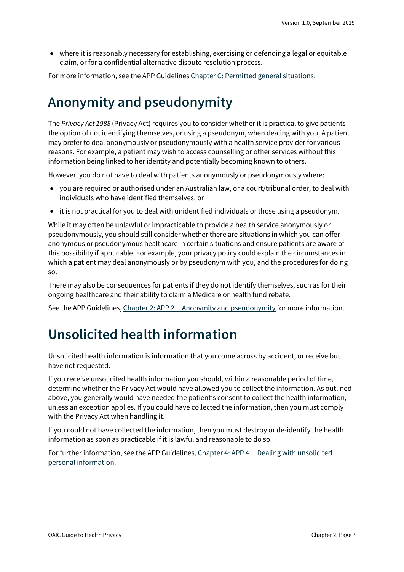• where it is reasonably necessary for establishing, exercising or defending a legal or equitable claim, or for a confidential alternative dispute resolution process.

For more information, see the APP Guideline[s Chapter C: Permitted general situations.](https://oaic.gov.au/privacy/australian-privacy-principles-guidelines/chapter-c-permitted-general-situations/)

## <span id="page-6-0"></span>**Anonymity and pseudonymity**

The *Privacy Act 1988* (Privacy Act) requires you to consider whether it is practical to give patients the option of not identifying themselves, or using a pseudonym, when dealing with you. A patient may prefer to deal anonymously or pseudonymously with a health service provider for various reasons. For example, a patient may wish to access counselling or other services without this information being linked to her identity and potentially becoming known to others.

However, you do not have to deal with patients anonymously or pseudonymously where:

- you are required or authorised under an Australian law, or a court/tribunal order, to deal with individuals who have identified themselves, or
- it is not practical for you to deal with unidentified individuals or those using a pseudonym.

While it may often be unlawful or impracticable to provide a health service anonymously or pseudonymously, you should still consider whether there are situations in which you can offer anonymous or pseudonymous healthcare in certain situations and ensure patients are aware of this possibility if applicable. For example, your privacy policy could explain the circumstances in which a patient may deal anonymously or by pseudonym with you, and the procedures for doing so.

There may also be consequences for patients if they do not identify themselves, such as for their ongoing healthcare and their ability to claim a Medicare or health fund rebate.

See the APP Guidelines, Chapter 2: APP 2 - [Anonymity and pseudonymity](https://oaic.gov.au/privacy/australian-privacy-principles-guidelines/chapter-2-app-2-anonymity-and-pseudonymity/) for more information.

## <span id="page-6-1"></span>**Unsolicited health information**

Unsolicited health information is information that you come across by accident, or receive but have not requested.

If you receive unsolicited health information you should, within a reasonable period of time, determine whether the Privacy Act would have allowed you to collect the information. As outlined above, you generally would have needed the patient's consent to collect the health information, unless an exception applies. If you could have collected the information, then you must comply with the Privacy Act when handling it.

If you could not have collected the information, then you must destroy or de-identify the health information as soon as practicable if it is lawful and reasonable to do so.

For further information, see the APP Guidelines, Chapter 4: APP 4 — [Dealing with unsolicited](https://oaic.gov.au/privacy/australian-privacy-principles-guidelines/chapter-4-app-4-dealing-with-unsolicited-personal-information/)  [personal information.](https://oaic.gov.au/privacy/australian-privacy-principles-guidelines/chapter-4-app-4-dealing-with-unsolicited-personal-information/)